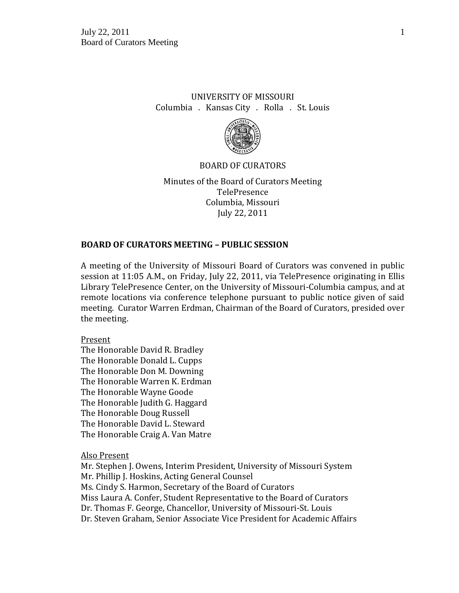# UNIVERSITY OF MISSOURI Columbia . Kansas City . Rolla . St. Louis



### BOARD OF CURATORS

Minutes of the Board of Curators Meeting TelePresence Columbia, Missouri July 22, 2011

## **BOARD OF CURATORS MEETING – PUBLIC SESSION**

A meeting of the University of Missouri Board of Curators was convened in public session at 11:05 A.M., on Friday, July 22, 2011, via TelePresence originating in Ellis Library TelePresence Center, on the University of Missouri-Columbia campus, and at remote locations via conference telephone pursuant to public notice given of said meeting. Curator Warren Erdman, Chairman of the Board of Curators, presided over the meeting.

#### Present

The Honorable David R. Bradley The Honorable Donald L. Cupps The Honorable Don M. Downing The Honorable Warren K. Erdman The Honorable Wayne Goode The Honorable Judith G. Haggard The Honorable Doug Russell The Honorable David L. Steward The Honorable Craig A. Van Matre

Also Present

Mr. Stephen J. Owens, Interim President, University of Missouri System Mr. Phillip J. Hoskins, Acting General Counsel Ms. Cindy S. Harmon, Secretary of the Board of Curators Miss Laura A. Confer, Student Representative to the Board of Curators Dr. Thomas F. George, Chancellor, University of Missouri-St. Louis Dr. Steven Graham, Senior Associate Vice President for Academic Affairs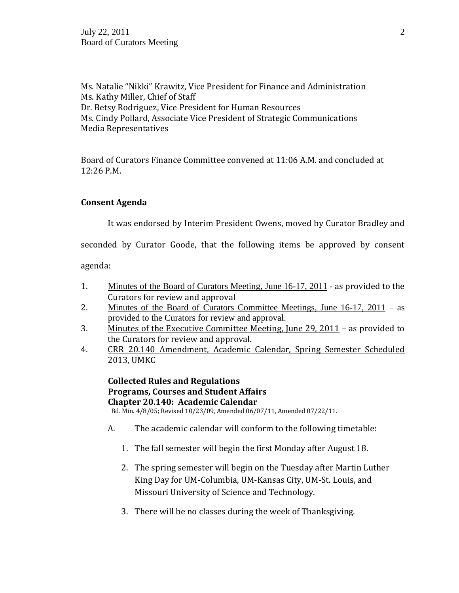Ms. Natalie "Nikki" Krawitz, Vice President for Finance and Administration Ms. Kathy Miller, Chief of Staff Dr. Betsy Rodriguez, Vice President for Human Resources Ms. Cindy Pollard, Associate Vice President of Strategic Communications Media Representatives

Board of Curators Finance Committee convened at 11:06 A.M. and concluded at 12:26 P.M.

## **Consent Agenda**

It was endorsed by Interim President Owens, moved by Curator Bradley and

seconded by Curator Goode, that the following items be approved by consent

agenda:

- 1. Minutes of the Board of Curators Meeting, June 16-17, 2011 as provided to the Curators for review and approval
- 2. Minutes of the Board of Curators Committee Meetings, June 16-17, 2011 as provided to the Curators for review and approval.
- 3. Minutes of the Executive Committee Meeting, June 29, 2011 as provided to the Curators for review and approval.
- 4. CRR 20.140 Amendment, Academic Calendar, Spring Semester Scheduled 2013, UMKC

**Collected Rules and Regulations Programs, Courses and Student Affairs Chapter 20.140: Academic Calendar** Bd. Min. 4/8/05; Revised 10/23/09, Amended 06/07/11, Amended 07/22/11.

- A. The academic calendar will conform to the following timetable:
	- 1. The fall semester will begin the first Monday after August 18.
	- 2. The spring semester will begin on the Tuesday after Martin Luther King Day for UM-Columbia, UM-Kansas City, UM-St. Louis, and Missouri University of Science and Technology.
	- 3. There will be no classes during the week of Thanksgiving.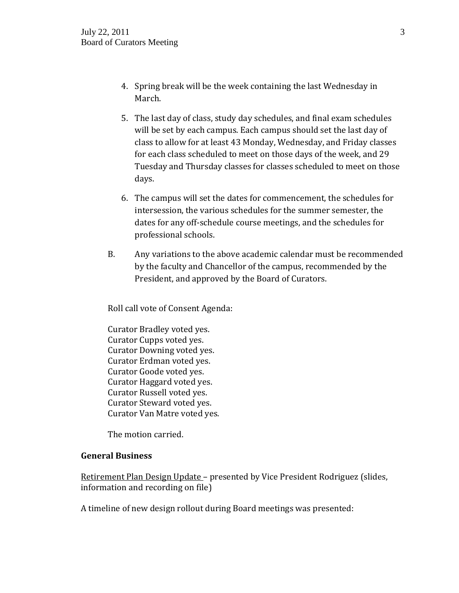- 4. Spring break will be the week containing the last Wednesday in March.
- 5. The last day of class, study day schedules, and final exam schedules will be set by each campus. Each campus should set the last day of class to allow for at least 43 Monday, Wednesday, and Friday classes for each class scheduled to meet on those days of the week, and 29 Tuesday and Thursday classes for classes scheduled to meet on those days.
- 6. The campus will set the dates for commencement, the schedules for intersession, the various schedules for the summer semester, the dates for any off-schedule course meetings, and the schedules for professional schools.
- B. Any variations to the above academic calendar must be recommended by the faculty and Chancellor of the campus, recommended by the President, and approved by the Board of Curators.

Roll call vote of Consent Agenda:

Curator Bradley voted yes. Curator Cupps voted yes. Curator Downing voted yes. Curator Erdman voted yes. Curator Goode voted yes. Curator Haggard voted yes. Curator Russell voted yes. Curator Steward voted yes. Curator Van Matre voted yes.

The motion carried.

## **General Business**

Retirement Plan Design Update – presented by Vice President Rodriguez (slides, information and recording on file)

A timeline of new design rollout during Board meetings was presented: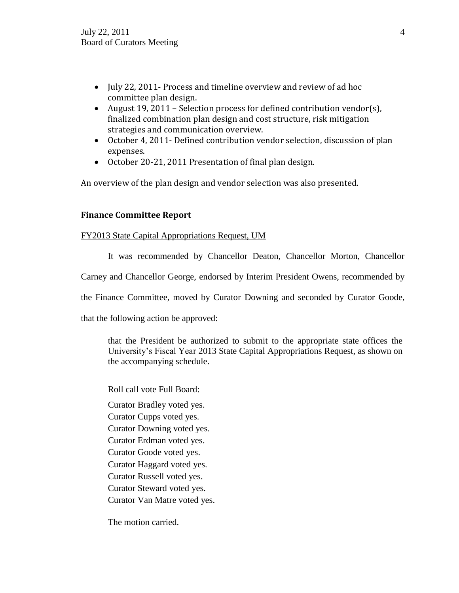- July 22, 2011- Process and timeline overview and review of ad hoc committee plan design.
- August 19, 2011 Selection process for defined contribution vendor(s), finalized combination plan design and cost structure, risk mitigation strategies and communication overview.
- October 4, 2011- Defined contribution vendor selection, discussion of plan expenses.
- October 20-21, 2011 Presentation of final plan design.

An overview of the plan design and vendor selection was also presented.

## **Finance Committee Report**

### FY2013 State Capital Appropriations Request, UM

It was recommended by Chancellor Deaton, Chancellor Morton, Chancellor

Carney and Chancellor George, endorsed by Interim President Owens, recommended by

the Finance Committee, moved by Curator Downing and seconded by Curator Goode,

that the following action be approved:

that the President be authorized to submit to the appropriate state offices the University's Fiscal Year 2013 State Capital Appropriations Request, as shown on the accompanying schedule.

Roll call vote Full Board:

Curator Bradley voted yes.

Curator Cupps voted yes.

Curator Downing voted yes.

Curator Erdman voted yes.

Curator Goode voted yes.

Curator Haggard voted yes.

Curator Russell voted yes.

Curator Steward voted yes.

Curator Van Matre voted yes.

The motion carried.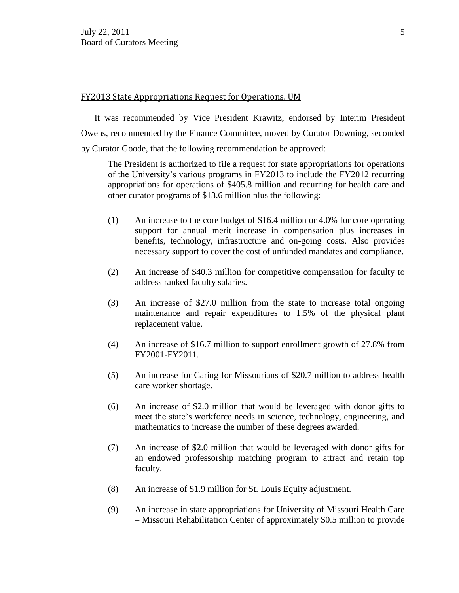#### FY2013 State Appropriations Request for Operations, UM

It was recommended by Vice President Krawitz, endorsed by Interim President Owens, recommended by the Finance Committee, moved by Curator Downing, seconded by Curator Goode, that the following recommendation be approved:

The President is authorized to file a request for state appropriations for operations of the University's various programs in FY2013 to include the FY2012 recurring appropriations for operations of \$405.8 million and recurring for health care and other curator programs of \$13.6 million plus the following:

- (1) An increase to the core budget of \$16.4 million or 4.0% for core operating support for annual merit increase in compensation plus increases in benefits, technology, infrastructure and on-going costs. Also provides necessary support to cover the cost of unfunded mandates and compliance.
- (2) An increase of \$40.3 million for competitive compensation for faculty to address ranked faculty salaries.
- (3) An increase of \$27.0 million from the state to increase total ongoing maintenance and repair expenditures to 1.5% of the physical plant replacement value.
- (4) An increase of \$16.7 million to support enrollment growth of 27.8% from FY2001-FY2011.
- (5) An increase for Caring for Missourians of \$20.7 million to address health care worker shortage.
- (6) An increase of \$2.0 million that would be leveraged with donor gifts to meet the state's workforce needs in science, technology, engineering, and mathematics to increase the number of these degrees awarded.
- (7) An increase of \$2.0 million that would be leveraged with donor gifts for an endowed professorship matching program to attract and retain top faculty.
- (8) An increase of \$1.9 million for St. Louis Equity adjustment.
- (9) An increase in state appropriations for University of Missouri Health Care – Missouri Rehabilitation Center of approximately \$0.5 million to provide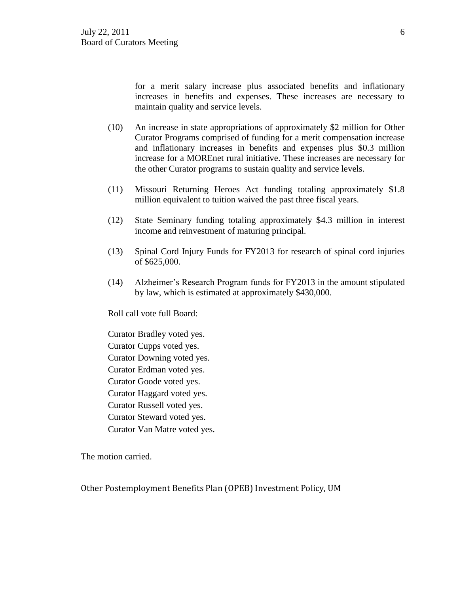for a merit salary increase plus associated benefits and inflationary increases in benefits and expenses. These increases are necessary to maintain quality and service levels.

- (10) An increase in state appropriations of approximately \$2 million for Other Curator Programs comprised of funding for a merit compensation increase and inflationary increases in benefits and expenses plus \$0.3 million increase for a MOREnet rural initiative. These increases are necessary for the other Curator programs to sustain quality and service levels.
- (11) Missouri Returning Heroes Act funding totaling approximately \$1.8 million equivalent to tuition waived the past three fiscal years.
- (12) State Seminary funding totaling approximately \$4.3 million in interest income and reinvestment of maturing principal.
- (13) Spinal Cord Injury Funds for FY2013 for research of spinal cord injuries of \$625,000.
- (14) Alzheimer's Research Program funds for FY2013 in the amount stipulated by law, which is estimated at approximately \$430,000.

Roll call vote full Board:

Curator Bradley voted yes.

Curator Cupps voted yes.

Curator Downing voted yes.

Curator Erdman voted yes.

Curator Goode voted yes.

Curator Haggard voted yes.

Curator Russell voted yes.

Curator Steward voted yes.

Curator Van Matre voted yes.

The motion carried.

Other Postemployment Benefits Plan (OPEB) Investment Policy, UM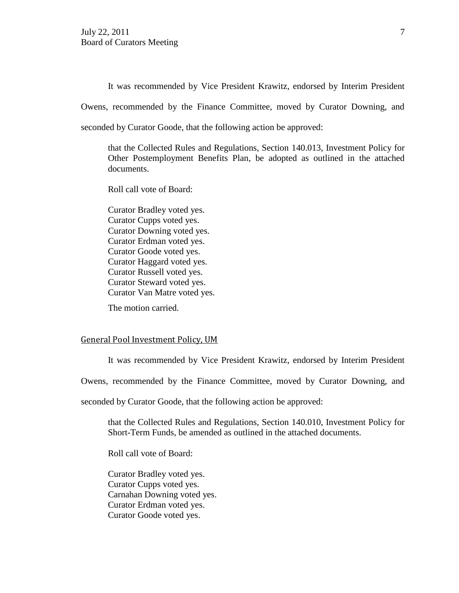It was recommended by Vice President Krawitz, endorsed by Interim President

Owens, recommended by the Finance Committee, moved by Curator Downing, and

seconded by Curator Goode, that the following action be approved:

that the Collected Rules and Regulations, Section 140.013, Investment Policy for Other Postemployment Benefits Plan, be adopted as outlined in the attached documents.

Roll call vote of Board:

Curator Bradley voted yes. Curator Cupps voted yes. Curator Downing voted yes. Curator Erdman voted yes. Curator Goode voted yes. Curator Haggard voted yes. Curator Russell voted yes. Curator Steward voted yes. Curator Van Matre voted yes.

The motion carried.

#### General Pool Investment Policy, UM

It was recommended by Vice President Krawitz, endorsed by Interim President

Owens, recommended by the Finance Committee, moved by Curator Downing, and

seconded by Curator Goode, that the following action be approved:

that the Collected Rules and Regulations, Section 140.010, Investment Policy for Short-Term Funds, be amended as outlined in the attached documents.

Roll call vote of Board:

Curator Bradley voted yes. Curator Cupps voted yes. Carnahan Downing voted yes. Curator Erdman voted yes. Curator Goode voted yes.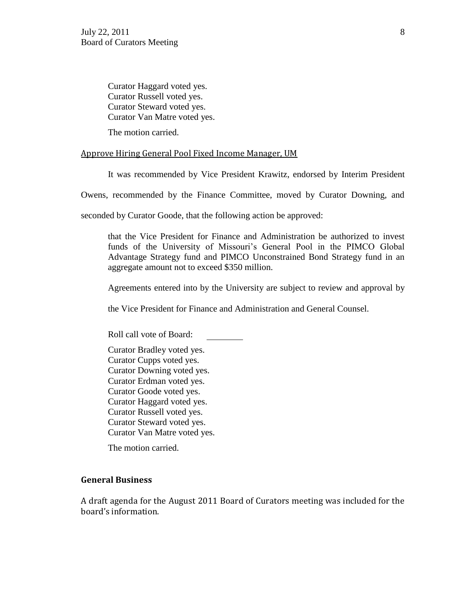Curator Haggard voted yes. Curator Russell voted yes. Curator Steward voted yes. Curator Van Matre voted yes.

The motion carried.

### Approve Hiring General Pool Fixed Income Manager, UM

It was recommended by Vice President Krawitz, endorsed by Interim President

Owens, recommended by the Finance Committee, moved by Curator Downing, and

seconded by Curator Goode, that the following action be approved:

that the Vice President for Finance and Administration be authorized to invest funds of the University of Missouri's General Pool in the PIMCO Global Advantage Strategy fund and PIMCO Unconstrained Bond Strategy fund in an aggregate amount not to exceed \$350 million.

Agreements entered into by the University are subject to review and approval by

the Vice President for Finance and Administration and General Counsel.

Roll call vote of Board:

Curator Bradley voted yes. Curator Cupps voted yes. Curator Downing voted yes. Curator Erdman voted yes. Curator Goode voted yes. Curator Haggard voted yes. Curator Russell voted yes. Curator Steward voted yes. Curator Van Matre voted yes.

The motion carried.

## **General Business**

A draft agenda for the August 2011 Board of Curators meeting was included for the board's information.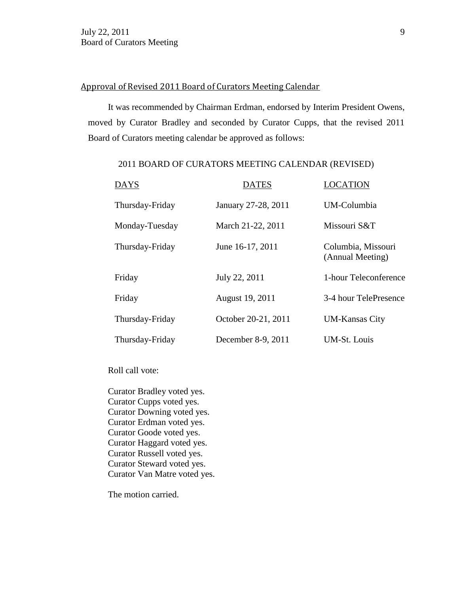## Approval of Revised 2011 Board of Curators Meeting Calendar

It was recommended by Chairman Erdman, endorsed by Interim President Owens, moved by Curator Bradley and seconded by Curator Cupps, that the revised 2011 Board of Curators meeting calendar be approved as follows:

### 2011 BOARD OF CURATORS MEETING CALENDAR (REVISED)

| <b>DAYS</b>     | <b>DATES</b>        | LOCATION                               |
|-----------------|---------------------|----------------------------------------|
| Thursday-Friday | January 27-28, 2011 | UM-Columbia                            |
| Monday-Tuesday  | March 21-22, 2011   | Missouri S&T                           |
| Thursday-Friday | June 16-17, 2011    | Columbia, Missouri<br>(Annual Meeting) |
| Friday          | July 22, 2011       | 1-hour Teleconference                  |
| Friday          | August 19, 2011     | 3-4 hour TelePresence                  |
| Thursday-Friday | October 20-21, 2011 | <b>UM-Kansas City</b>                  |
| Thursday-Friday | December 8-9, 2011  | <b>UM-St.</b> Louis                    |

Roll call vote:

Curator Bradley voted yes. Curator Cupps voted yes. Curator Downing voted yes. Curator Erdman voted yes. Curator Goode voted yes. Curator Haggard voted yes. Curator Russell voted yes. Curator Steward voted yes. Curator Van Matre voted yes.

The motion carried.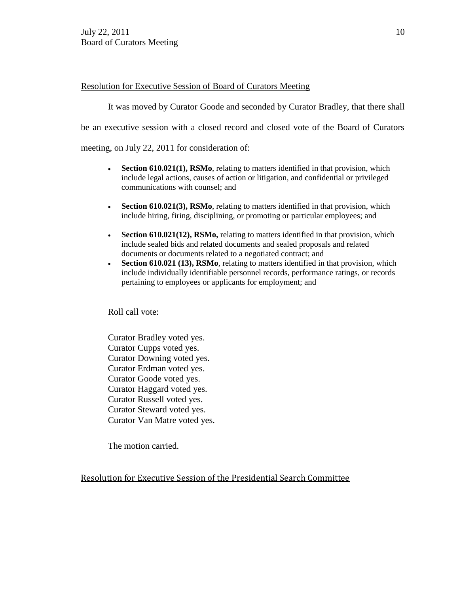### Resolution for Executive Session of Board of Curators Meeting

It was moved by Curator Goode and seconded by Curator Bradley, that there shall

be an executive session with a closed record and closed vote of the Board of Curators

meeting, on July 22, 2011 for consideration of:

- **Section 610.021(1), RSMo**, relating to matters identified in that provision, which include legal actions, causes of action or litigation, and confidential or privileged communications with counsel; and
- **Section 610.021(3), RSMo**, relating to matters identified in that provision, which include hiring, firing, disciplining, or promoting or particular employees; and
- **Section 610.021(12), RSMo,** relating to matters identified in that provision, which include sealed bids and related documents and sealed proposals and related documents or documents related to a negotiated contract; and
- **Section 610.021 (13), RSMo**, relating to matters identified in that provision, which include individually identifiable personnel records, performance ratings, or records pertaining to employees or applicants for employment; and

Roll call vote:

Curator Bradley voted yes. Curator Cupps voted yes. Curator Downing voted yes. Curator Erdman voted yes. Curator Goode voted yes. Curator Haggard voted yes. Curator Russell voted yes. Curator Steward voted yes. Curator Van Matre voted yes.

The motion carried.

Resolution for Executive Session of the Presidential Search Committee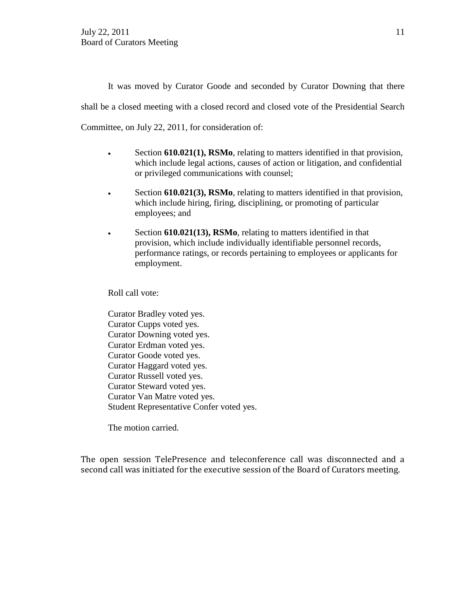It was moved by Curator Goode and seconded by Curator Downing that there shall be a closed meeting with a closed record and closed vote of the Presidential Search Committee, on July 22, 2011, for consideration of:

- Section **610.021(1), RSMo**, relating to matters identified in that provision, which include legal actions, causes of action or litigation, and confidential or privileged communications with counsel;
- Section **610.021(3), RSMo**, relating to matters identified in that provision, which include hiring, firing, disciplining, or promoting of particular employees; and
- Section **610.021(13), RSMo**, relating to matters identified in that provision, which include individually identifiable personnel records, performance ratings, or records pertaining to employees or applicants for employment.

Roll call vote:

Curator Bradley voted yes. Curator Cupps voted yes. Curator Downing voted yes. Curator Erdman voted yes. Curator Goode voted yes. Curator Haggard voted yes. Curator Russell voted yes. Curator Steward voted yes. Curator Van Matre voted yes. Student Representative Confer voted yes.

The motion carried.

The open session TelePresence and teleconference call was disconnected and a second call was initiated for the executive session of the Board of Curators meeting.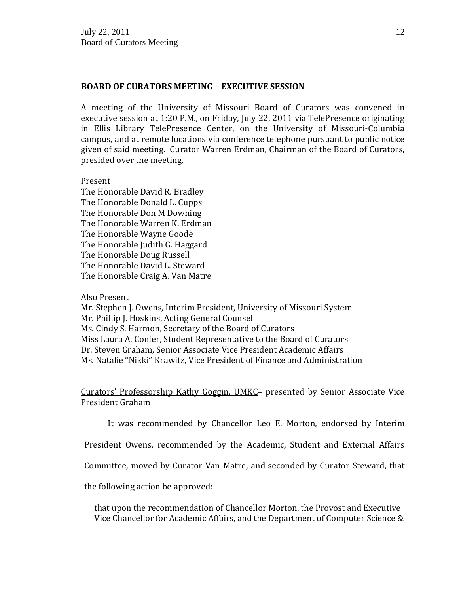### **BOARD OF CURATORS MEETING – EXECUTIVE SESSION**

A meeting of the University of Missouri Board of Curators was convened in executive session at 1:20 P.M., on Friday, July 22, 2011 via TelePresence originating in Ellis Library TelePresence Center, on the University of Missouri-Columbia campus, and at remote locations via conference telephone pursuant to public notice given of said meeting. Curator Warren Erdman, Chairman of the Board of Curators, presided over the meeting.

### Present

The Honorable David R. Bradley The Honorable Donald L. Cupps The Honorable Don M Downing The Honorable Warren K. Erdman The Honorable Wayne Goode The Honorable Judith G. Haggard The Honorable Doug Russell The Honorable David L. Steward The Honorable Craig A. Van Matre

#### Also Present

Mr. Stephen J. Owens, Interim President, University of Missouri System Mr. Phillip J. Hoskins, Acting General Counsel Ms. Cindy S. Harmon, Secretary of the Board of Curators Miss Laura A. Confer, Student Representative to the Board of Curators Dr. Steven Graham, Senior Associate Vice President Academic Affairs Ms. Natalie "Nikki" Krawitz, Vice President of Finance and Administration

Curators' Professorship Kathy Goggin, UMKC– presented by Senior Associate Vice President Graham

It was recommended by Chancellor Leo E. Morton, endorsed by Interim

President Owens, recommended by the Academic, Student and External Affairs

Committee, moved by Curator Van Matre, and seconded by Curator Steward, that

the following action be approved:

that upon the recommendation of Chancellor Morton, the Provost and Executive Vice Chancellor for Academic Affairs, and the Department of Computer Science &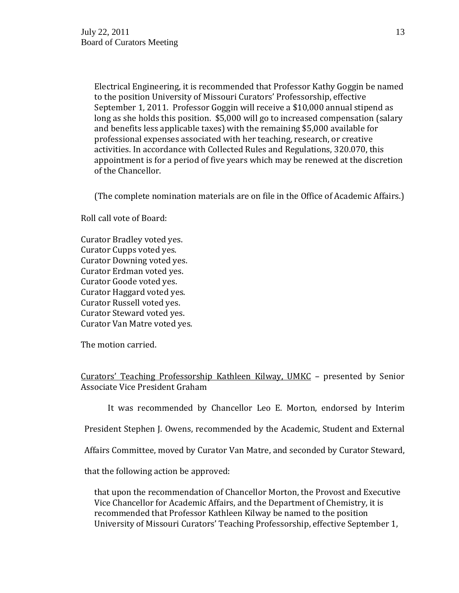Electrical Engineering, it is recommended that Professor Kathy Goggin be named to the position University of Missouri Curators' Professorship, effective September 1, 2011. Professor Goggin will receive a \$10,000 annual stipend as long as she holds this position. \$5,000 will go to increased compensation (salary and benefits less applicable taxes) with the remaining \$5,000 available for professional expenses associated with her teaching, research, or creative activities. In accordance with Collected Rules and Regulations, 320.070, this appointment is for a period of five years which may be renewed at the discretion of the Chancellor.

(The complete nomination materials are on file in the Office of Academic Affairs.)

Roll call vote of Board:

Curator Bradley voted yes. Curator Cupps voted yes. Curator Downing voted yes. Curator Erdman voted yes. Curator Goode voted yes. Curator Haggard voted yes. Curator Russell voted yes. Curator Steward voted yes. Curator Van Matre voted yes.

The motion carried.

Curators' Teaching Professorship Kathleen Kilway, UMKC – presented by Senior Associate Vice President Graham

It was recommended by Chancellor Leo E. Morton, endorsed by Interim

President Stephen J. Owens, recommended by the Academic, Student and External

Affairs Committee, moved by Curator Van Matre, and seconded by Curator Steward,

that the following action be approved:

that upon the recommendation of Chancellor Morton, the Provost and Executive Vice Chancellor for Academic Affairs, and the Department of Chemistry, it is recommended that Professor Kathleen Kilway be named to the position University of Missouri Curators' Teaching Professorship, effective September 1,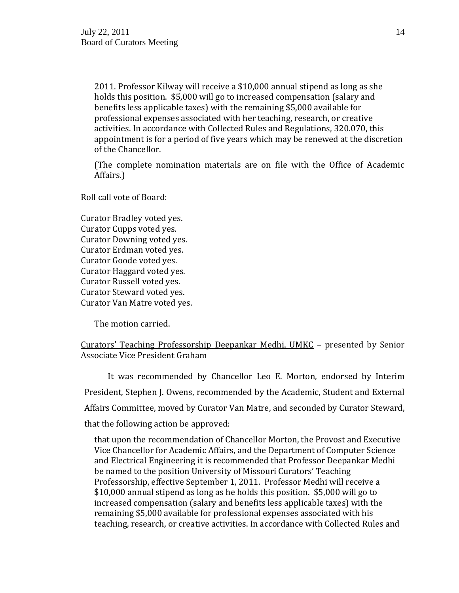2011. Professor Kilway will receive a \$10,000 annual stipend as long as she holds this position. \$5,000 will go to increased compensation (salary and benefits less applicable taxes) with the remaining \$5,000 available for professional expenses associated with her teaching, research, or creative activities. In accordance with Collected Rules and Regulations, 320.070, this appointment is for a period of five years which may be renewed at the discretion of the Chancellor.

(The complete nomination materials are on file with the Office of Academic Affairs.)

Roll call vote of Board:

Curator Bradley voted yes. Curator Cupps voted yes. Curator Downing voted yes. Curator Erdman voted yes. Curator Goode voted yes. Curator Haggard voted yes. Curator Russell voted yes. Curator Steward voted yes. Curator Van Matre voted yes.

The motion carried.

## Curators' Teaching Professorship Deepankar Medhi, UMKC – presented by Senior Associate Vice President Graham

It was recommended by Chancellor Leo E. Morton, endorsed by Interim President, Stephen J. Owens, recommended by the Academic, Student and External Affairs Committee, moved by Curator Van Matre, and seconded by Curator Steward, that the following action be approved:

that upon the recommendation of Chancellor Morton, the Provost and Executive Vice Chancellor for Academic Affairs, and the Department of Computer Science and Electrical Engineering it is recommended that Professor Deepankar Medhi be named to the position University of Missouri Curators' Teaching Professorship, effective September 1, 2011. Professor Medhi will receive a \$10,000 annual stipend as long as he holds this position. \$5,000 will go to increased compensation (salary and benefits less applicable taxes) with the remaining \$5,000 available for professional expenses associated with his teaching, research, or creative activities. In accordance with Collected Rules and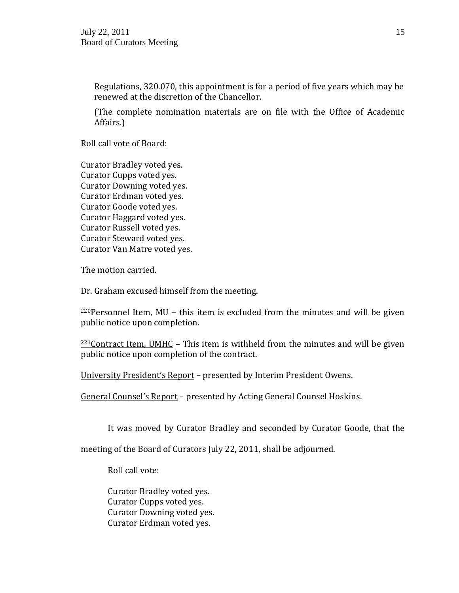Regulations, 320.070, this appointment is for a period of five years which may be renewed at the discretion of the Chancellor.

(The complete nomination materials are on file with the Office of Academic Affairs.)

Roll call vote of Board:

Curator Bradley voted yes. Curator Cupps voted yes. Curator Downing voted yes. Curator Erdman voted yes. Curator Goode voted yes. Curator Haggard voted yes. Curator Russell voted yes. Curator Steward voted yes. Curator Van Matre voted yes.

The motion carried.

Dr. Graham excused himself from the meeting.

 $220$ Personnel Item, MU – this item is excluded from the minutes and will be given public notice upon completion.

 $221$ Contract Item, UMHC – This item is withheld from the minutes and will be given public notice upon completion of the contract.

University President's Report – presented by Interim President Owens.

General Counsel's Report – presented by Acting General Counsel Hoskins.

It was moved by Curator Bradley and seconded by Curator Goode, that the

meeting of the Board of Curators July 22, 2011, shall be adjourned.

Roll call vote:

Curator Bradley voted yes. Curator Cupps voted yes. Curator Downing voted yes. Curator Erdman voted yes.